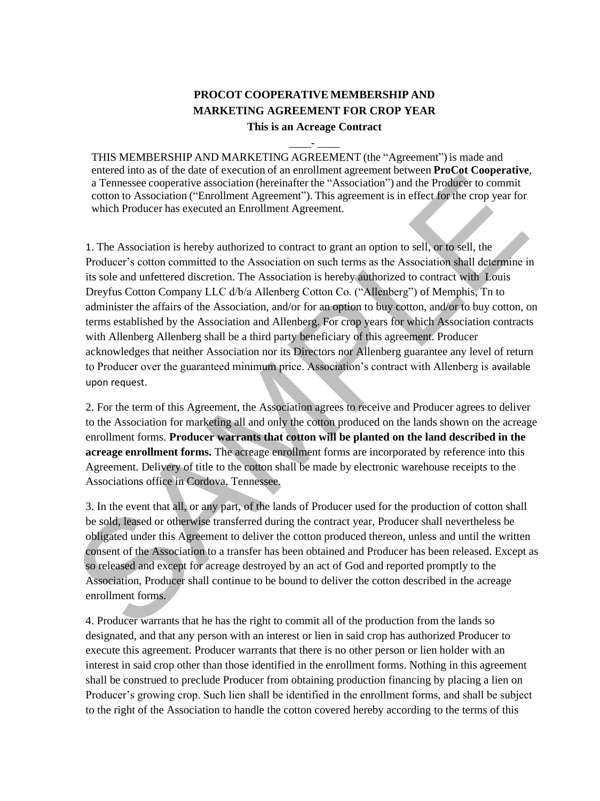# **PROCOT COOPERATIVE MEMBERSHIP AND MARKETING AGREEMENT FOR CROP YEAR**

**This is an Acreage Contract** \_\_\_\_- \_\_\_\_

THIS MEMBERSHIP AND MARKETING AGREEMENT (the "Agreement") is made and entered into as of the date of execution of an enrollment agreement between **ProCot Cooperative**, a Tennessee cooperative association (hereinafter the "Association") and the Producer to commit cotton to Association ("Enrollment Agreement"). This agreement is in effect for the crop year for which Producer has executed an Enrollment Agreement.

1. The Association is hereby authorized to contract to grant an option to sell, or to sell, the Producer's cotton committed to the Association on such terms as the Association shall determine in its sole and unfettered discretion. The Association is hereby authorized to contract with Louis Dreyfus Cotton Company LLC d/b/a Allenberg Cotton Co. ("Allenberg") of Memphis, Tn to administer the affairs of the Association, and/or for an option to buy cotton, and/or to buy cotton, on terms established by the Association and Allenberg. For crop years for which Association contracts with Allenberg Allenberg shall be a third party beneficiary of this agreement. Producer acknowledges that neither Association nor its Directors nor Allenberg guarantee any level of return to Producer over the guaranteed minimum price. Association's contract with Allenberg is available upon request. and the Product content in the Saveciation (hereinalter the "Association") and the Product to commit<br>
conto to Association ("Fermolental Agreement"). This agreement is in effect for the cropy ear for<br>
which Product resolut

2. For the term of this Agreement, the Association agrees to receive and Producer agrees to deliver to the Association for marketing all and only the cotton produced on the lands shown on the acreage enrollment forms. **Producer warrants that cotton will be planted on the land described in the acreage enrollment forms.** The acreage enrollment forms are incorporated by reference into this Agreement. Delivery of title to the cotton shall be made by electronic warehouse receipts to the Associations office in Cordova, Tennessee.

3. In the event that all, or any part, of the lands of Producer used for the production of cotton shall be sold, leased or otherwise transferred during the contract year, Producer shall nevertheless be obligated under this Agreement to deliver the cotton produced thereon, unless and until the written consent of the Association to a transfer has been obtained and Producer has been released. Except as so released and except for acreage destroyed by an act of God and reported promptly to the Association, Producer shall continue to be bound to deliver the cotton described in the acreage enrollment forms.

4. Producer warrants that he has the right to commit all of the production from the lands so designated, and that any person with an interest or lien in said crop has authorized Producer to execute this agreement. Producer warrants that there is no other person or lien holder with an interest in said crop other than those identified in the enrollment forms. Nothing in this agreement shall be construed to preclude Producer from obtaining production financing by placing a lien on Producer's growing crop. Such lien shall be identified in the enrollment forms, and shall be subject to the right of the Association to handle the cotton covered hereby according to the terms of this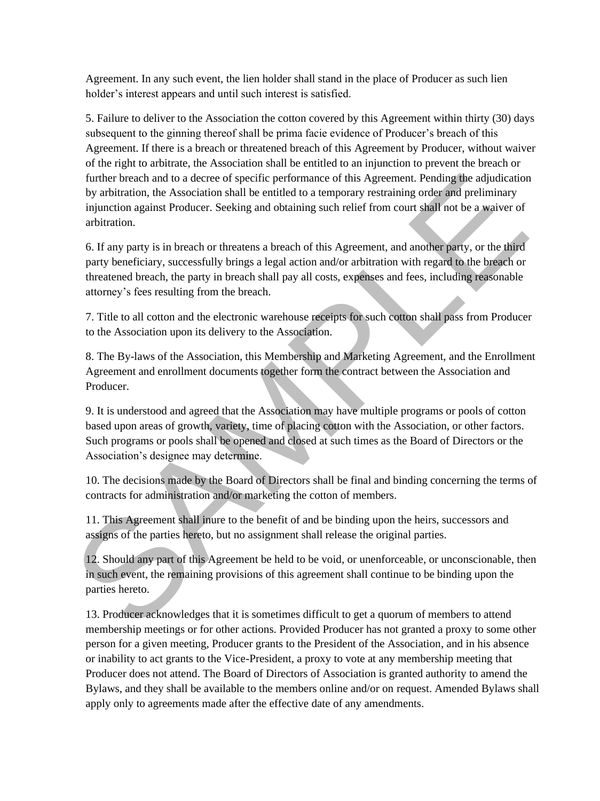Agreement. In any such event, the lien holder shall stand in the place of Producer as such lien holder's interest appears and until such interest is satisfied.

5. Failure to deliver to the Association the cotton covered by this Agreement within thirty (30) days subsequent to the ginning thereof shall be prima facie evidence of Producer's breach of this Agreement. If there is a breach or threatened breach of this Agreement by Producer, without waiver of the right to arbitrate, the Association shall be entitled to an injunction to prevent the breach or further breach and to a decree of specific performance of this Agreement. Pending the adjudication by arbitration, the Association shall be entitled to a temporary restraining order and preliminary injunction against Producer. Seeking and obtaining such relief from court shall not be a waiver of arbitration.

6. If any party is in breach or threatens a breach of this Agreement, and another party, or the third party beneficiary, successfully brings a legal action and/or arbitration with regard to the breach or threatened breach, the party in breach shall pay all costs, expenses and fees, including reasonable attorney's fees resulting from the breach.

7. Title to all cotton and the electronic warehouse receipts for such cotton shall pass from Producer to the Association upon its delivery to the Association.

8. The By-laws of the Association, this Membership and Marketing Agreement, and the Enrollment Agreement and enrollment documents together form the contract between the Association and Producer.

9. It is understood and agreed that the Association may have multiple programs or pools of cotton based upon areas of growth, variety, time of placing cotton with the Association, or other factors. Such programs or pools shall be opened and closed at such times as the Board of Directors or the Association's designee may determine. furthe breach and to a decree of specific performance of this Agreement. Pending the adjointant<br>ty whitnion, the Association shall be entitled to a temporary restraining order and preliminary<br>higherdon against Producer. Se

10. The decisions made by the Board of Directors shall be final and binding concerning the terms of contracts for administration and/or marketing the cotton of members.

11. This Agreement shall inure to the benefit of and be binding upon the heirs, successors and assigns of the parties hereto, but no assignment shall release the original parties.

12. Should any part of this Agreement be held to be void, or unenforceable, or unconscionable, then in such event, the remaining provisions of this agreement shall continue to be binding upon the parties hereto.

13. Producer acknowledges that it is sometimes difficult to get a quorum of members to attend membership meetings or for other actions. Provided Producer has not granted a proxy to some other person for a given meeting, Producer grants to the President of the Association, and in his absence or inability to act grants to the Vice-President, a proxy to vote at any membership meeting that Producer does not attend. The Board of Directors of Association is granted authority to amend the Bylaws, and they shall be available to the members online and/or on request. Amended Bylaws shall apply only to agreements made after the effective date of any amendments.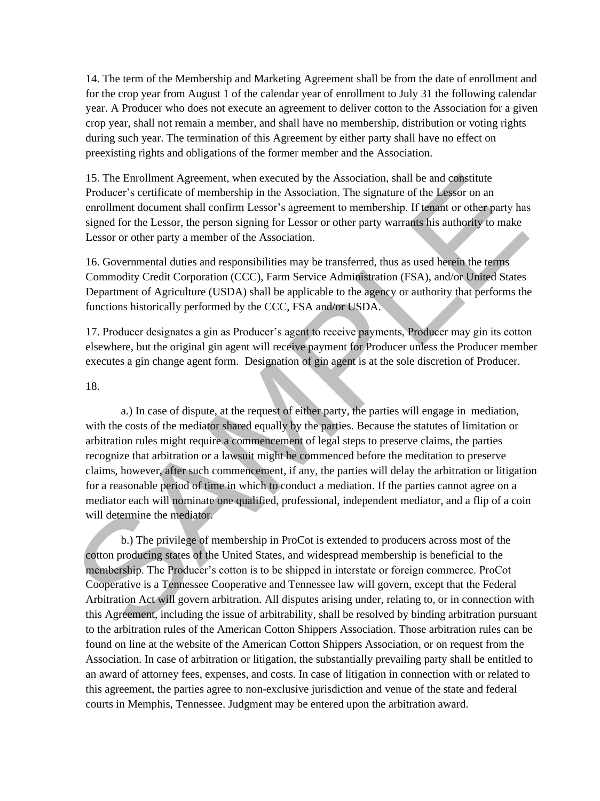14. The term of the Membership and Marketing Agreement shall be from the date of enrollment and for the crop year from August 1 of the calendar year of enrollment to July 31 the following calendar year. A Producer who does not execute an agreement to deliver cotton to the Association for a given crop year, shall not remain a member, and shall have no membership, distribution or voting rights during such year. The termination of this Agreement by either party shall have no effect on preexisting rights and obligations of the former member and the Association.

15. The Enrollment Agreement, when executed by the Association, shall be and constitute Producer's certificate of membership in the Association. The signature of the Lessor on an enrollment document shall confirm Lessor's agreement to membership. If tenant or other party has signed for the Lessor, the person signing for Lessor or other party warrants his authority to make Lessor or other party a member of the Association.

16. Governmental duties and responsibilities may be transferred, thus as used herein the terms Commodity Credit Corporation (CCC), Farm Service Administration (FSA), and/or United States Department of Agriculture (USDA) shall be applicable to the agency or authority that performs the functions historically performed by the CCC, FSA and/or USDA.

17. Producer designates a gin as Producer's agent to receive payments, Producer may gin its cotton elsewhere, but the original gin agent will receive payment for Producer unless the Producer member executes a gin change agent form. Designation of gin agent is at the sole discretion of Producer.

18.

a.) In case of dispute, at the request of either party, the parties will engage in mediation, with the costs of the mediator shared equally by the parties. Because the statutes of limitation or arbitration rules might require a commencement of legal steps to preserve claims, the parties recognize that arbitration or a lawsuit might be commenced before the meditation to preserve claims, however, after such commencement, if any, the parties will delay the arbitration or litigation for a reasonable period of time in which to conduct a mediation. If the parties cannot agree on a mediator each will nominate one qualified, professional, independent mediator, and a flip of a coin will determine the mediator. 15. The Encollent Agreement, when executed by the Association, shall be and opacitive and space that the and space that the and space of the Lessor on an encollent document shall confirm Lessor's agreement to membership.

b.) The privilege of membership in ProCot is extended to producers across most of the cotton producing states of the United States, and widespread membership is beneficial to the membership. The Producer's cotton is to be shipped in interstate or foreign commerce. ProCot Cooperative is a Tennessee Cooperative and Tennessee law will govern, except that the Federal Arbitration Act will govern arbitration. All disputes arising under, relating to, or in connection with this Agreement, including the issue of arbitrability, shall be resolved by binding arbitration pursuant to the arbitration rules of the American Cotton Shippers Association. Those arbitration rules can be found on line at the website of the American Cotton Shippers Association, or on request from the Association. In case of arbitration or litigation, the substantially prevailing party shall be entitled to an award of attorney fees, expenses, and costs. In case of litigation in connection with or related to this agreement, the parties agree to non-exclusive jurisdiction and venue of the state and federal courts in Memphis, Tennessee. Judgment may be entered upon the arbitration award.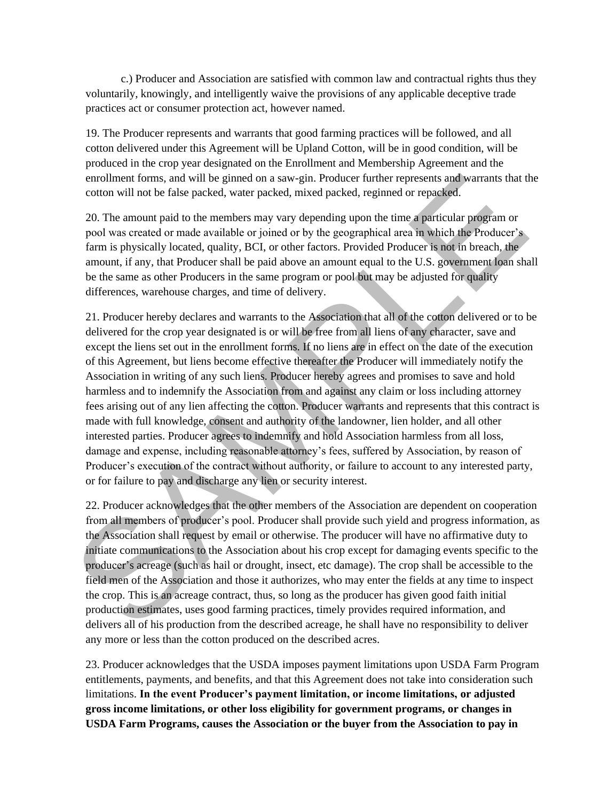c.) Producer and Association are satisfied with common law and contractual rights thus they voluntarily, knowingly, and intelligently waive the provisions of any applicable deceptive trade practices act or consumer protection act, however named.

19. The Producer represents and warrants that good farming practices will be followed, and all cotton delivered under this Agreement will be Upland Cotton, will be in good condition, will be produced in the crop year designated on the Enrollment and Membership Agreement and the enrollment forms, and will be ginned on a saw-gin. Producer further represents and warrants that the cotton will not be false packed, water packed, mixed packed, reginned or repacked.

20. The amount paid to the members may vary depending upon the time a particular program or pool was created or made available or joined or by the geographical area in which the Producer's farm is physically located, quality, BCI, or other factors. Provided Producer is not in breach, the amount, if any, that Producer shall be paid above an amount equal to the U.S. government loan shall be the same as other Producers in the same program or pool but may be adjusted for quality differences, warehouse charges, and time of delivery.

21. Producer hereby declares and warrants to the Association that all of the cotton delivered or to be delivered for the crop year designated is or will be free from all liens of any character, save and except the liens set out in the enrollment forms. If no liens are in effect on the date of the execution of this Agreement, but liens become effective thereafter the Producer will immediately notify the Association in writing of any such liens. Producer hereby agrees and promises to save and hold harmless and to indemnify the Association from and against any claim or loss including attorney fees arising out of any lien affecting the cotton. Producer warrants and represents that this contract is made with full knowledge, consent and authority of the landowner, lien holder, and all other interested parties. Producer agrees to indemnify and hold Association harmless from all loss, damage and expense, including reasonable attorney's fees, suffered by Association, by reason of Producer's execution of the contract without authority, or failure to account to any interested party, or for failure to pay and discharge any lien or security interest. enrollment forms, and will be ginned on a saw-gin. Producer further represents and worrants that<br>coton will not be false packed, water packed, mixed pucked, regimed or repaised.<br>20. The amount paid to the members may vary

22. Producer acknowledges that the other members of the Association are dependent on cooperation from all members of producer's pool. Producer shall provide such yield and progress information, as the Association shall request by email or otherwise. The producer will have no affirmative duty to initiate communications to the Association about his crop except for damaging events specific to the producer's acreage (such as hail or drought, insect, etc damage). The crop shall be accessible to the field men of the Association and those it authorizes, who may enter the fields at any time to inspect the crop. This is an acreage contract, thus, so long as the producer has given good faith initial production estimates, uses good farming practices, timely provides required information, and delivers all of his production from the described acreage, he shall have no responsibility to deliver any more or less than the cotton produced on the described acres.

23. Producer acknowledges that the USDA imposes payment limitations upon USDA Farm Program entitlements, payments, and benefits, and that this Agreement does not take into consideration such limitations. **In the event Producer's payment limitation, or income limitations, or adjusted gross income limitations, or other loss eligibility for government programs, or changes in USDA Farm Programs, causes the Association or the buyer from the Association to pay in**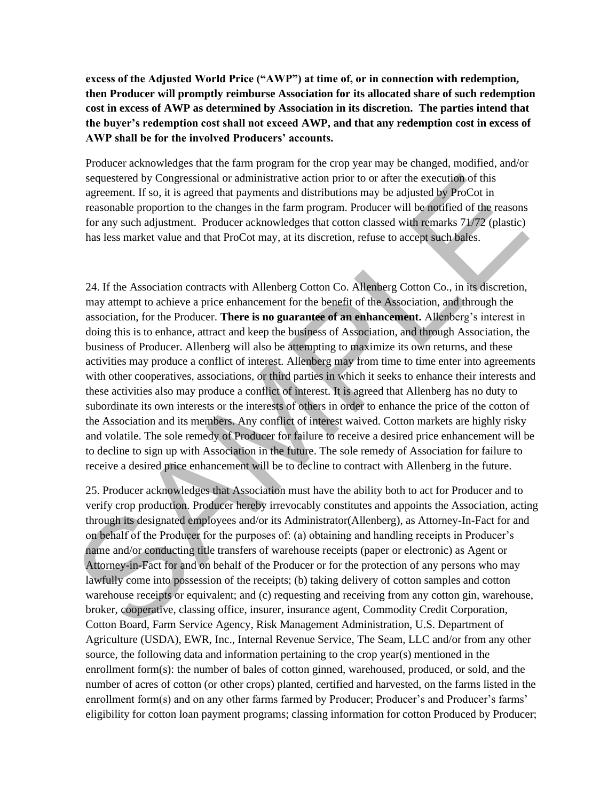**excess of the Adjusted World Price ("AWP") at time of, or in connection with redemption, then Producer will promptly reimburse Association for its allocated share of such redemption cost in excess of AWP as determined by Association in its discretion. The parties intend that the buyer's redemption cost shall not exceed AWP, and that any redemption cost in excess of AWP shall be for the involved Producers' accounts.** 

Producer acknowledges that the farm program for the crop year may be changed, modified, and/or sequestered by Congressional or administrative action prior to or after the execution of this agreement. If so, it is agreed that payments and distributions may be adjusted by ProCot in reasonable proportion to the changes in the farm program. Producer will be notified of the reasons for any such adjustment. Producer acknowledges that cotton classed with remarks 71/72 (plastic) has less market value and that ProCot may, at its discretion, refuse to accept such bales.

24. If the Association contracts with Allenberg Cotton Co. Allenberg Cotton Co., in its discretion, may attempt to achieve a price enhancement for the benefit of the Association, and through the association, for the Producer. **There is no guarantee of an enhancement.** Allenberg's interest in doing this is to enhance, attract and keep the business of Association, and through Association, the business of Producer. Allenberg will also be attempting to maximize its own returns, and these activities may produce a conflict of interest. Allenberg may from time to time enter into agreements with other cooperatives, associations, or third parties in which it seeks to enhance their interests and these activities also may produce a conflict of interest. It is agreed that Allenberg has no duty to subordinate its own interests or the interests of others in order to enhance the price of the cotton of the Association and its members. Any conflict of interest waived. Cotton markets are highly risky and volatile. The sole remedy of Producer for failure to receive a desired price enhancement will be to decline to sign up with Association in the future. The sole remedy of Association for failure to receive a desired price enhancement will be to decline to contract with Allenberg in the future. sequenced by Congessional or administrative action<br>eigenstered by Congessional or administrative action prior to or after the execution of this agreement. If so, it is agreed that payments and distributions may be adjusted

25. Producer acknowledges that Association must have the ability both to act for Producer and to verify crop production. Producer hereby irrevocably constitutes and appoints the Association, acting through its designated employees and/or its Administrator(Allenberg), as Attorney-In-Fact for and on behalf of the Producer for the purposes of: (a) obtaining and handling receipts in Producer's name and/or conducting title transfers of warehouse receipts (paper or electronic) as Agent or Attorney-in-Fact for and on behalf of the Producer or for the protection of any persons who may lawfully come into possession of the receipts; (b) taking delivery of cotton samples and cotton warehouse receipts or equivalent; and (c) requesting and receiving from any cotton gin, warehouse, broker, cooperative, classing office, insurer, insurance agent, Commodity Credit Corporation, Cotton Board, Farm Service Agency, Risk Management Administration, U.S. Department of Agriculture (USDA), EWR, Inc., Internal Revenue Service, The Seam, LLC and/or from any other source, the following data and information pertaining to the crop year(s) mentioned in the enrollment form(s): the number of bales of cotton ginned, warehoused, produced, or sold, and the number of acres of cotton (or other crops) planted, certified and harvested, on the farms listed in the enrollment form(s) and on any other farms farmed by Producer; Producer's and Producer's farms' eligibility for cotton loan payment programs; classing information for cotton Produced by Producer;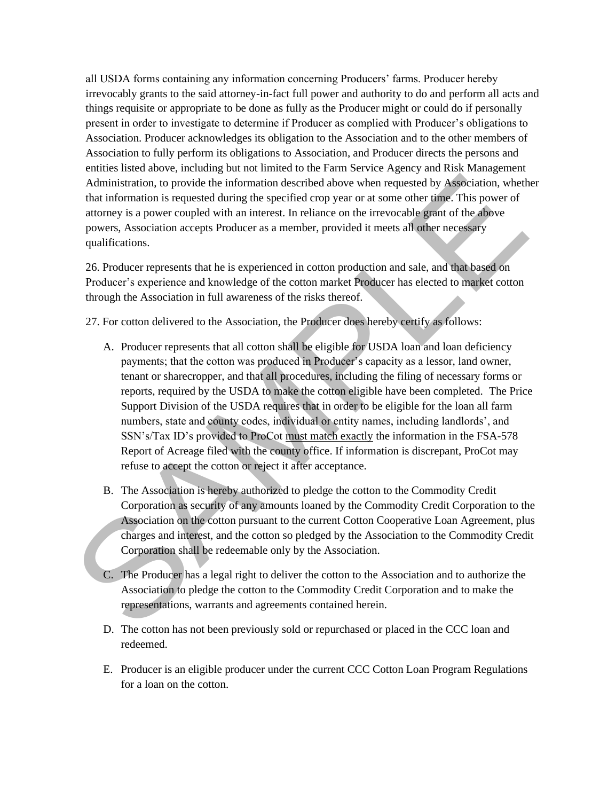all USDA forms containing any information concerning Producers' farms. Producer hereby irrevocably grants to the said attorney-in-fact full power and authority to do and perform all acts and things requisite or appropriate to be done as fully as the Producer might or could do if personally present in order to investigate to determine if Producer as complied with Producer's obligations to Association. Producer acknowledges its obligation to the Association and to the other members of Association to fully perform its obligations to Association, and Producer directs the persons and entities listed above, including but not limited to the Farm Service Agency and Risk Management Administration, to provide the information described above when requested by Association, whether that information is requested during the specified crop year or at some other time. This power of attorney is a power coupled with an interest. In reliance on the irrevocable grant of the above powers, Association accepts Producer as a member, provided it meets all other necessary qualifications.

26. Producer represents that he is experienced in cotton production and sale, and that based on Producer's experience and knowledge of the cotton market Producer has elected to market cotton through the Association in full awareness of the risks thereof.

27. For cotton delivered to the Association, the Producer does hereby certify as follows:

- A. Producer represents that all cotton shall be eligible for USDA loan and loan deficiency payments; that the cotton was produced in Producer's capacity as a lessor, land owner, tenant or sharecropper, and that all procedures, including the filing of necessary forms or reports, required by the USDA to make the cotton eligible have been completed. The Price Support Division of the USDA requires that in order to be eligible for the loan all farm numbers, state and county codes, individual or entity names, including landlords', and SSN's/Tax ID's provided to ProCot must match exactly the information in the FSA-578 Report of Acreage filed with the county office. If information is discrepant, ProCot may refuse to accept the cotton or reject it after acceptance. Administration, to provide the information described above when requested by Association, whethat information is equested by the information is equested to the antony is a power coupled with an interest. In reliance on th
	- B. The Association is hereby authorized to pledge the cotton to the Commodity Credit Corporation as security of any amounts loaned by the Commodity Credit Corporation to the Association on the cotton pursuant to the current Cotton Cooperative Loan Agreement, plus charges and interest, and the cotton so pledged by the Association to the Commodity Credit Corporation shall be redeemable only by the Association.
	- C. The Producer has a legal right to deliver the cotton to the Association and to authorize the Association to pledge the cotton to the Commodity Credit Corporation and to make the representations, warrants and agreements contained herein.
	- D. The cotton has not been previously sold or repurchased or placed in the CCC loan and redeemed.
	- E. Producer is an eligible producer under the current CCC Cotton Loan Program Regulations for a loan on the cotton.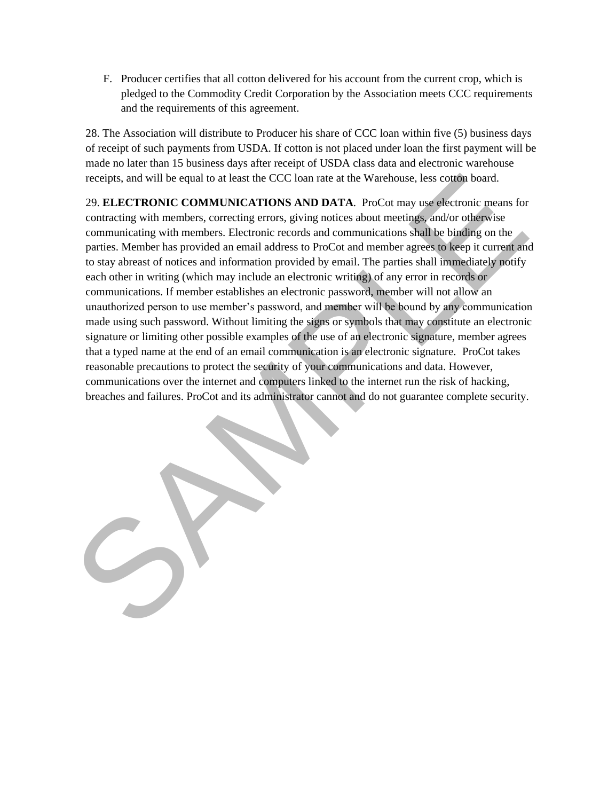F. Producer certifies that all cotton delivered for his account from the current crop, which is pledged to the Commodity Credit Corporation by the Association meets CCC requirements and the requirements of this agreement.

28. The Association will distribute to Producer his share of CCC loan within five (5) business days of receipt of such payments from USDA. If cotton is not placed under loan the first payment will be made no later than 15 business days after receipt of USDA class data and electronic warehouse receipts, and will be equal to at least the CCC loan rate at the Warehouse, less cotton board.

29. **ELECTRONIC COMMUNICATIONS AND DATA**. ProCot may use electronic means for contracting with members, correcting errors, giving notices about meetings, and/or otherwise communicating with members. Electronic records and communications shall be binding on the parties. Member has provided an email address to ProCot and member agrees to keep it current and to stay abreast of notices and information provided by email. The parties shall immediately notify each other in writing (which may include an electronic writing) of any error in records or communications. If member establishes an electronic password, member will not allow an unauthorized person to use member's password, and member will be bound by any communication made using such password. Without limiting the signs or symbols that may constitute an electronic signature or limiting other possible examples of the use of an electronic signature, member agrees that a typed name at the end of an email communication is an electronic signature. ProCot takes reasonable precautions to protect the security of your communications and data. However, communications over the internet and computers linked to the internet run the risk of hacking, breaches and failures. ProCot and its administrator cannot and do not guarantee complete security. receipts, and will be equal to at least the CCC loan rate at the Warehouse, less cofoon board.<br>
29. ELECTRONNIC COMMUNICATIONS AND DATA. ProCot may electromic means to<br>contracting with members, relectromic records and comm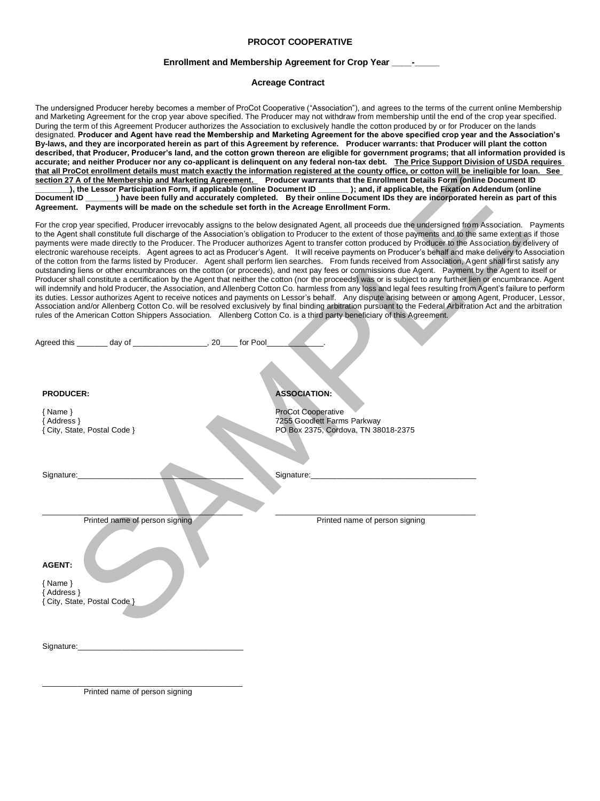### **PROCOT COOPERATIVE**

#### **Enrollment and Membership Agreement for Crop Year \_\_**

#### **Acreage Contract**

The undersigned Producer hereby becomes a member of ProCot Cooperative ("Association"), and agrees to the terms of the current online Membership and Marketing Agreement for the crop year above specified. The Producer may not withdraw from membership until the end of the crop year specified. During the term of this Agreement Producer authorizes the Association to exclusively handle the cotton produced by or for Producer on the lands designated. **Producer and Agent have read the Membership and Marketing Agreement for the above specified crop year and the Association's By-laws, and they are incorporated herein as part of this Agreement by reference. Producer warrants: that Producer will plant the cotton described, that Producer, Producer's land, and the cotton grown thereon are eligible for government programs; that all information provided is accurate; and neither Producer nor any co-applicant is delinquent on any federal non-tax debt. The Price Support Division of USDA requires that all ProCot enrollment details must match exactly the information registered at the county office, or cotton will be ineligible for loan. See section 27 A of the Membership and Marketing Agreement. Producer warrants that the Enrollment Details Form (online Document ID \_\_\_\_\_\_\_\_), the Lessor Participation Form, if applicable (online Document ID \_\_\_\_\_\_\_ ); and, if applicable, the Fixation Addendum (online Document ID \_\_\_\_\_\_\_) have been fully and accurately completed. By their online Document IDs they are incorporated herein as part of this Agreement. Payments will be made on the schedule set forth in the Acreage Enrollment Form.** 

For the crop year specified, Producer irrevocably assigns to the below designated Agent, all proceeds due the undersigned from Association. Payments to the Agent shall constitute full discharge of the Association's obligation to Producer to the extent of those payments and to the same extent as if those payments were made directly to the Producer. The Producer authorizes Agent to transfer cotton produced by Producer to the Association by delivery of electronic warehouse receipts. Agent agrees to act as Producer's Agent. It will receive payments on Producer's behalf and make delivery to Association of the cotton from the farms listed by Producer. Agent shall perform lien searches. From funds received from Association, Agent shall first satisfy any outstanding liens or other encumbrances on the cotton (or proceeds), and next pay fees or commissions due Agent. Payment by the Agent to itself or Producer shall constitute a certification by the Agent that neither the cotton (nor the proceeds) was or is subject to any further lien or encumbrance. Agent will indemnify and hold Producer, the Association, and Allenberg Cotton Co. harmless from any loss and legal fees resulting from Agent's failure to perform its duties. Lessor authorizes Agent to receive notices and payments on Lessor's behalf. Any dispute arising between or among Agent, Producer, Lessor, Association and/or Allenberg Cotton Co. will be resolved exclusively by final binding arbitration pursuant to the Federal Arbitration Act and the arbitration rules of the American Cotton Shippers Association. Allenberg Cotton Co. is a third party beneficiary of this Agreement. 27.4.0.1.0.1.2. Mathematical Andreas Association. The colume the matrix in the Encyclopedia China China China China China China China China China China China China China China China China China China China China China Chi

Agreed this \_\_\_\_\_\_\_\_ day of \_\_\_\_\_\_\_\_\_\_\_\_\_\_\_\_\_\_\_, 20\_\_\_\_ for Pool

#### **PRODUCER:**

{ Name }

Address } { City, State, Postal Code }

ProCot Cooperative

**ASSOCIATION:** 

7255 Goodlett Farms Parkway PO Box 2375, Cordova, TN 38018-2375

Signature:

Signature:\_\_\_\_\_\_\_\_\_\_\_\_\_\_\_\_\_\_\_\_\_\_\_\_\_\_\_\_\_\_\_\_\_\_\_\_\_\_

 $\overline{\phantom{a}}$  , and the contract of the contract of the contract of the contract of the contract of the contract of the contract of the contract of the contract of the contract of the contract of the contract of the contrac Printed name of person signing

\_\_\_\_\_\_\_\_\_\_\_\_\_\_\_\_\_\_\_\_\_\_\_\_\_\_\_\_\_\_\_\_\_\_\_\_\_\_\_\_\_\_\_\_\_\_ Printed name of person signing

#### **AGENT:**

{ Name } Address } { City, State, Postal Code }

Signature:

\_\_\_\_\_\_\_\_\_\_\_\_\_\_\_\_\_\_\_\_\_\_\_\_\_\_\_\_\_\_\_\_\_\_\_\_\_\_\_\_\_\_\_\_\_\_ Printed name of person signing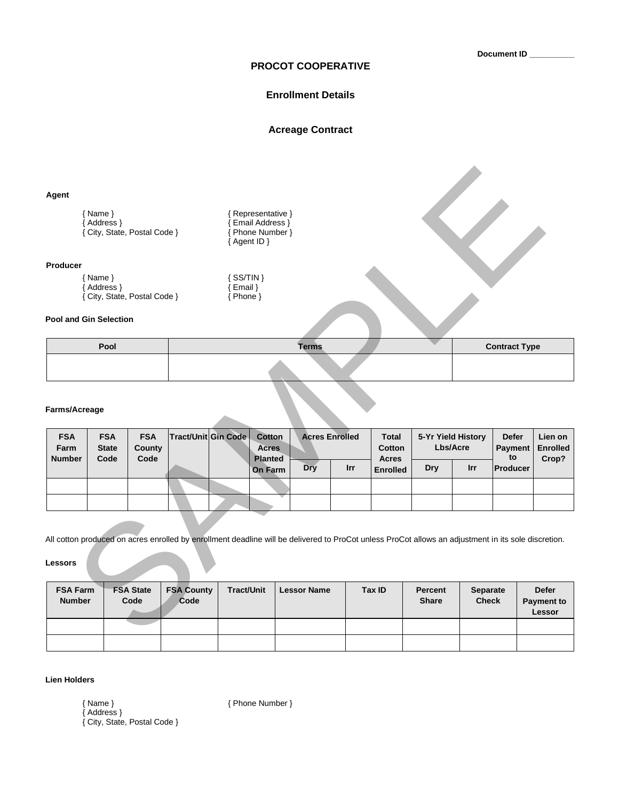**Document ID \_\_\_\_\_\_\_\_\_\_**

## **PROCOT COOPERATIVE**

## **Enrollment Details**

## **Acreage Contract**

| Pool                               |                                                                         |                                |                                                              |  | <b>Terms</b>                                                                                              |                                                                   |                                        |                 |            |                                       |                                                                                                                                                                                                |  |  |
|------------------------------------|-------------------------------------------------------------------------|--------------------------------|--------------------------------------------------------------|--|-----------------------------------------------------------------------------------------------------------|-------------------------------------------------------------------|----------------------------------------|-----------------|------------|---------------------------------------|------------------------------------------------------------------------------------------------------------------------------------------------------------------------------------------------|--|--|
|                                    |                                                                         |                                |                                                              |  |                                                                                                           |                                                                   |                                        |                 |            |                                       |                                                                                                                                                                                                |  |  |
|                                    |                                                                         |                                |                                                              |  |                                                                                                           |                                                                   |                                        |                 |            |                                       |                                                                                                                                                                                                |  |  |
| <b>FSA</b><br><b>State</b><br>Code | <b>FSA</b><br>County                                                    |                                |                                                              |  | Cotton<br><b>Acres</b>                                                                                    |                                                                   | <b>Total</b><br>Cotton<br><b>Acres</b> |                 |            | <b>Defer</b><br><b>Payment</b><br>to  | Lien on<br><b>Enrolled</b><br>Crop?                                                                                                                                                            |  |  |
|                                    |                                                                         |                                |                                                              |  | <b>Dry</b>                                                                                                | <b>Irr</b>                                                        |                                        | <b>Dry</b>      | <b>Irr</b> |                                       |                                                                                                                                                                                                |  |  |
|                                    |                                                                         |                                |                                                              |  |                                                                                                           |                                                                   |                                        |                 |            |                                       |                                                                                                                                                                                                |  |  |
|                                    |                                                                         |                                |                                                              |  |                                                                                                           |                                                                   |                                        |                 |            |                                       |                                                                                                                                                                                                |  |  |
|                                    |                                                                         |                                |                                                              |  |                                                                                                           |                                                                   |                                        |                 |            |                                       |                                                                                                                                                                                                |  |  |
|                                    | $\{ Name \}$<br>{ Address }<br>{ Name }<br>{ Address }<br>Farms/Acreage | Pool and Gin Selection<br>Code | { City, State, Postal Code }<br>{ City, State, Postal Code } |  | { Agent ID }<br>$\{$ SS/TIN $\}$<br>$\{$ Email $\}$<br>{ Phone }<br>Tract/Unit Gin Code<br><b>Planted</b> | {Representative }<br>Email Address }<br>Phone Number }<br>On Farm | <b>Acres Enrolled</b>                  | <b>Enrolled</b> |            | 5-Yr Yield History<br><b>Lbs/Acre</b> | <b>Contract Type</b><br><b>Producer</b><br>All cotton produced on acres enrolled by enrollment deadline will be delivered to ProCot unless ProCot allows an adjustment in its sole discretion. |  |  |

## **Farms/Acreage**

| <b>FSA</b><br>Farm<br><b>Number</b> | <b>FSA</b><br><b>State</b><br>Code | <b>FSA</b><br>County<br>Code | Tract/Unit Gin Code | Cotton<br><b>Acres</b><br><b>Planted</b> | <b>Acres Enrolled</b> |            | <b>Total</b><br>Cotton<br><b>Acres</b> | 5-Yr Yield History<br>Lbs/Acre |            | <b>Defer</b><br><b>Payment</b><br>to | Lien on<br><b>Enrolled</b><br>Crop? |
|-------------------------------------|------------------------------------|------------------------------|---------------------|------------------------------------------|-----------------------|------------|----------------------------------------|--------------------------------|------------|--------------------------------------|-------------------------------------|
|                                     |                                    |                              |                     | <b>On Farm</b>                           | Dry                   | <b>Irr</b> | <b>Enrolled</b>                        | Dry                            | <b>Irr</b> | Producer                             |                                     |
|                                     |                                    |                              |                     |                                          |                       |            |                                        |                                |            |                                      |                                     |
|                                     |                                    |                              |                     |                                          |                       |            |                                        |                                |            |                                      |                                     |

| <b>FSA Farm</b><br><b>Number</b> | <b>FSA State</b><br>Code | <b>FSA County</b><br>Code | <b>Tract/Unit</b> | <b>Lessor Name</b> | Tax ID | Percent<br><b>Share</b> | <b>Separate</b><br><b>Check</b> | <b>Defer</b><br><b>Payment to</b><br>Lessor |
|----------------------------------|--------------------------|---------------------------|-------------------|--------------------|--------|-------------------------|---------------------------------|---------------------------------------------|
|                                  |                          |                           |                   |                    |        |                         |                                 |                                             |
|                                  |                          |                           |                   |                    |        |                         |                                 |                                             |

## **Lien Holders**

{ Name } { Phone Number }

{ Address } { City, State, Postal Code }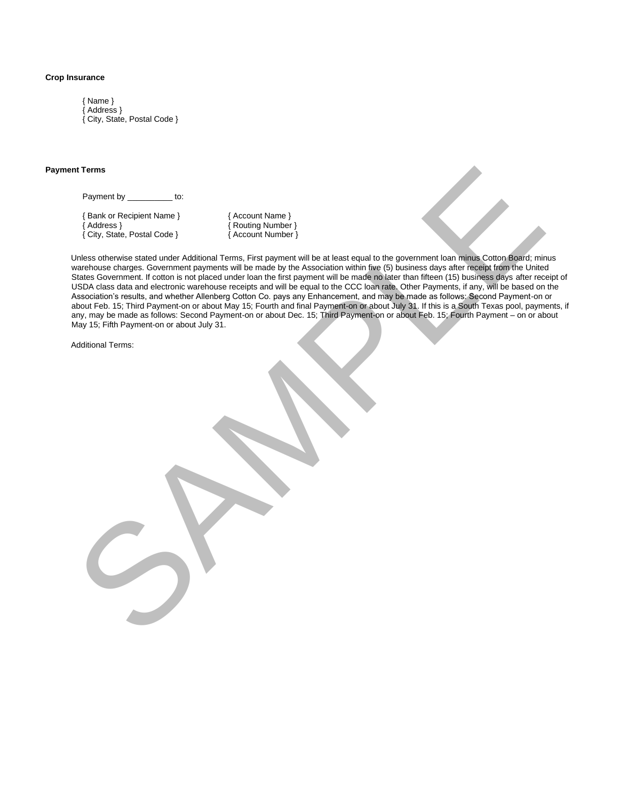#### **Crop Insurance**

{ Name } { Address } { City, State, Postal Code }

#### **Payment Terms**

Payment by \_\_\_\_\_\_\_\_\_\_ to:

{ Bank or Recipient Name } { Account Name } { City, State, Postal Code } { Account Number }

{ Address } { Routing Number }

Unless otherwise stated under Additional Terms, First payment will be at least equal to the government loan minus Cotton Board; minus warehouse charges. Government payments will be made by the Association within five (5) business days after receipt from the United States Government. If cotton is not placed under loan the first payment will be made no later than fifteen (15) business days after receipt of USDA class data and electronic warehouse receipts and will be equal to the CCC loan rate. Other Payments, if any, will be based on the Association's results, and whether Allenberg Cotton Co. pays any Enhancement, and may be made as follows: Second Payment-on or about Feb. 15; Third Payment-on or about May 15; Fourth and final Payment-on or about July 31. If this is a South Texas pool, payments, if any, may be made as follows: Second Payment-on or about Dec. 15; Third Payment-on or about Feb. 15; Fourth Payment – on or about May 15; Fifth Payment-on or about July 31. Form of the Collection of the Collection of the Collection of the Collection of the Collection of the Collection of the Collection of the Collection of the Collection of the Collection of the Collection of the Collection o

Additional Terms: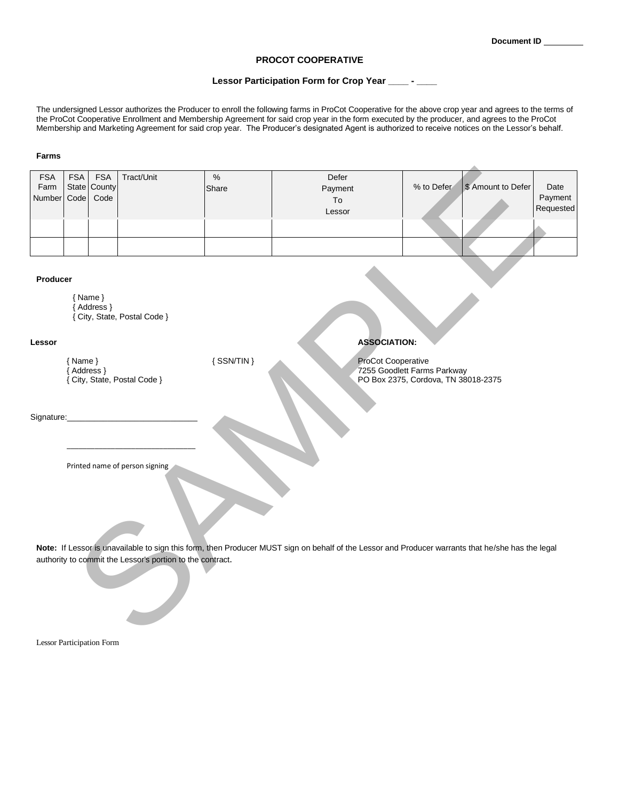#### **PROCOT COOPERATIVE**

#### **Lessor Participation Form for Crop Year \_\_\_\_ - \_\_\_\_**

The undersigned Lessor authorizes the Producer to enroll the following farms in ProCot Cooperative for the above crop year and agrees to the terms of the ProCot Cooperative Enrollment and Membership Agreement for said crop year in the form executed by the producer, and agrees to the ProCot Membership and Marketing Agreement for said crop year. The Producer's designated Agent is authorized to receive notices on the Lessor's behalf.

#### **Farms**

| <b>FSA</b><br>Farm               | <b>FSA</b>              | <b>FSA</b><br>State County | Tract/Unit                                                | $\%$<br>Share                                                                                           | Defer<br>Payment                                                                                                                                  | % to Defer | \$ Amount to Defer | Date                 |  |  |
|----------------------------------|-------------------------|----------------------------|-----------------------------------------------------------|---------------------------------------------------------------------------------------------------------|---------------------------------------------------------------------------------------------------------------------------------------------------|------------|--------------------|----------------------|--|--|
| Number                           | Code                    | Code                       |                                                           |                                                                                                         | To<br>Lessor                                                                                                                                      |            |                    | Payment<br>Requested |  |  |
|                                  |                         |                            |                                                           |                                                                                                         |                                                                                                                                                   |            |                    |                      |  |  |
|                                  |                         |                            |                                                           |                                                                                                         |                                                                                                                                                   |            |                    |                      |  |  |
| Producer                         | ${Name}$                | {Address }                 | { City, State, Postal Code }                              |                                                                                                         |                                                                                                                                                   |            |                    |                      |  |  |
| Lessor                           |                         |                            |                                                           |                                                                                                         | <b>ASSOCIATION:</b>                                                                                                                               |            |                    |                      |  |  |
|                                  | ${Name}$<br>{ Address } |                            | { City, State, Postal Code }                              | ${SSN/TIN}$<br>ProCot Cooperative<br>7255 Goodlett Farms Parkway<br>PO Box 2375, Cordova, TN 38018-2375 |                                                                                                                                                   |            |                    |                      |  |  |
| Signature:                       |                         |                            |                                                           |                                                                                                         |                                                                                                                                                   |            |                    |                      |  |  |
|                                  |                         |                            | Printed name of person signing                            |                                                                                                         | Note: If Lessor is unavailable to sign this form, then Producer MUST sign on behalf of the Lessor and Producer warrants that he/she has the legal |            |                    |                      |  |  |
|                                  |                         |                            | authority to commit the Lessor's portion to the contract. |                                                                                                         |                                                                                                                                                   |            |                    |                      |  |  |
| <b>Lessor Participation Form</b> |                         |                            |                                                           |                                                                                                         |                                                                                                                                                   |            |                    |                      |  |  |

#### **Producer**

| $\{ Name \}$                 |
|------------------------------|
| { Address }                  |
| { City, State, Postal Code } |

## **Lessor ASSOCIATION:**